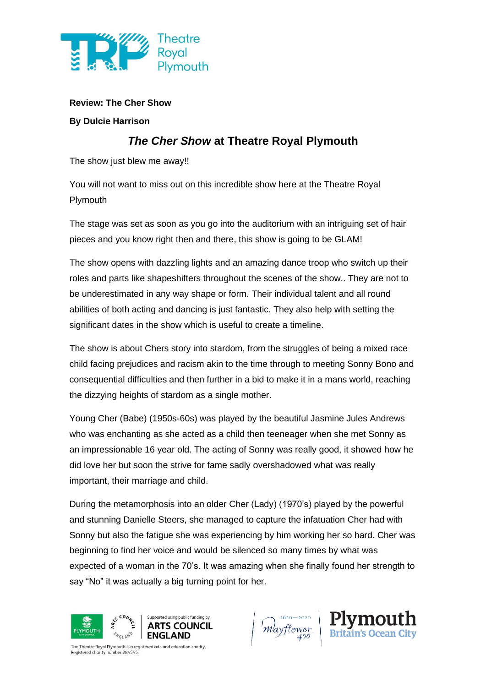

## **Review: The Cher Show**

## **By Dulcie Harrison**

## *The Cher Show* **at Theatre Royal Plymouth**

The show just blew me away!!

You will not want to miss out on this incredible show here at the Theatre Royal Plymouth

The stage was set as soon as you go into the auditorium with an intriguing set of hair pieces and you know right then and there, this show is going to be GLAM!

The show opens with dazzling lights and an amazing dance troop who switch up their roles and parts like shapeshifters throughout the scenes of the show.. They are not to be underestimated in any way shape or form. Their individual talent and all round abilities of both acting and dancing is just fantastic. They also help with setting the significant dates in the show which is useful to create a timeline.

The show is about Chers story into stardom, from the struggles of being a mixed race child facing prejudices and racism akin to the time through to meeting Sonny Bono and consequential difficulties and then further in a bid to make it in a mans world, reaching the dizzying heights of stardom as a single mother.

Young Cher (Babe) (1950s-60s) was played by the beautiful Jasmine Jules Andrews who was enchanting as she acted as a child then teeneager when she met Sonny as an impressionable 16 year old. The acting of Sonny was really good, it showed how he did love her but soon the strive for fame sadly overshadowed what was really important, their marriage and child.

During the metamorphosis into an older Cher (Lady) (1970's) played by the powerful and stunning Danielle Steers, she managed to capture the infatuation Cher had with Sonny but also the fatigue she was experiencing by him working her so hard. Cher was beginning to find her voice and would be silenced so many times by what was expected of a woman in the 70's. It was amazing when she finally found her strength to say "No" it was actually a big turning point for her.



Mayflower